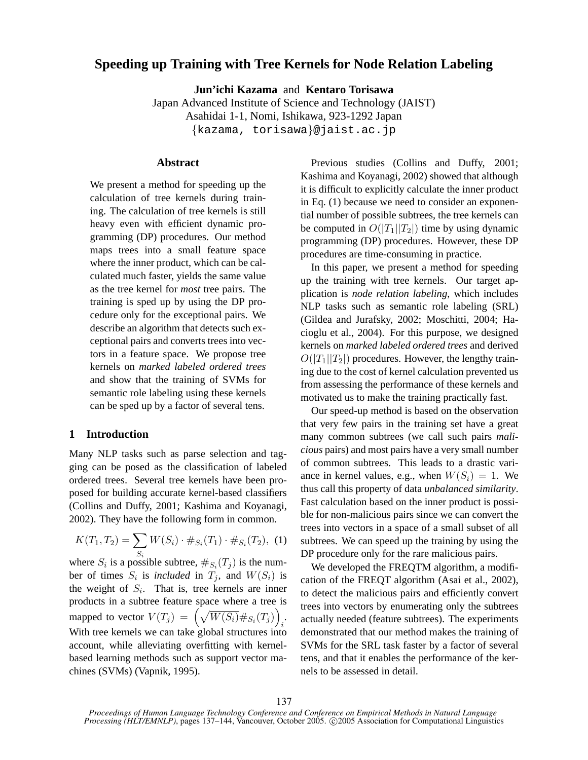# **Speeding up Training with Tree Kernels for Node Relation Labeling**

**Jun'ichi Kazama** and **Kentaro Torisawa**

Japan Advanced Institute of Science and Technology (JAIST) Asahidai 1-1, Nomi, Ishikawa, 923-1292 Japan {kazama, torisawa}@jaist.ac.jp

# **Abstract**

We present a method for speeding up the calculation of tree kernels during training. The calculation of tree kernels is still heavy even with efficient dynamic programming (DP) procedures. Our method maps trees into a small feature space where the inner product, which can be calculated much faster, yields the same value as the tree kernel for *most* tree pairs. The training is sped up by using the DP procedure only for the exceptional pairs. We describe an algorithm that detects such exceptional pairs and converts trees into vectors in a feature space. We propose tree kernels on *marked labeled ordered trees* and show that the training of SVMs for semantic role labeling using these kernels can be sped up by a factor of several tens.

# **1 Introduction**

Many NLP tasks such as parse selection and tagging can be posed as the classification of labeled ordered trees. Several tree kernels have been proposed for building accurate kernel-based classifiers (Collins and Duffy, 2001; Kashima and Koyanagi, 2002). They have the following form in common.

$$
K(T_1, T_2) = \sum_{S_i} W(S_i) \cdot \#_{S_i}(T_1) \cdot \#_{S_i}(T_2), \tag{1}
$$

where  $S_i$  is a possible subtree,  $\#_{S_i}(T_j)$  is the number of times  $S_i$  is *included* in  $T_j$ , and  $W(S_i)$  is the weight of  $S_i$ . That is, tree kernels are inner products in a subtree feature space where a tree is products in a subtree reature space where a tree is<br>mapped to vector  $V(T_j) = \left(\sqrt{W(S_i)} \#_{S_i}(T_j)\right)$ . With tree kernels we can take global structures into account, while alleviating overfitting with kernelbased learning methods such as support vector machines (SVMs) (Vapnik, 1995).

Previous studies (Collins and Duffy, 2001; Kashima and Koyanagi, 2002) showed that although it is difficult to explicitly calculate the inner product in Eq. (1) because we need to consider an exponential number of possible subtrees, the tree kernels can be computed in  $O(|T_1||T_2|)$  time by using dynamic programming (DP) procedures. However, these DP procedures are time-consuming in practice.

In this paper, we present a method for speeding up the training with tree kernels. Our target application is *node relation labeling*, which includes NLP tasks such as semantic role labeling (SRL) (Gildea and Jurafsky, 2002; Moschitti, 2004; Hacioglu et al., 2004). For this purpose, we designed kernels on *marked labeled ordered trees* and derived  $O(|T_1||T_2|)$  procedures. However, the lengthy training due to the cost of kernel calculation prevented us from assessing the performance of these kernels and motivated us to make the training practically fast.

Our speed-up method is based on the observation that very few pairs in the training set have a great many common subtrees (we call such pairs *malicious* pairs) and most pairs have a very small number of common subtrees. This leads to a drastic variance in kernel values, e.g., when  $W(S_i) = 1$ . We thus call this property of data *unbalanced similarity*. Fast calculation based on the inner product is possible for non-malicious pairs since we can convert the trees into vectors in a space of a small subset of all subtrees. We can speed up the training by using the DP procedure only for the rare malicious pairs.

We developed the FREQTM algorithm, a modification of the FREQT algorithm (Asai et al., 2002), to detect the malicious pairs and efficiently convert trees into vectors by enumerating only the subtrees actually needed (feature subtrees). The experiments demonstrated that our method makes the training of SVMs for the SRL task faster by a factor of several tens, and that it enables the performance of the kernels to be assessed in detail.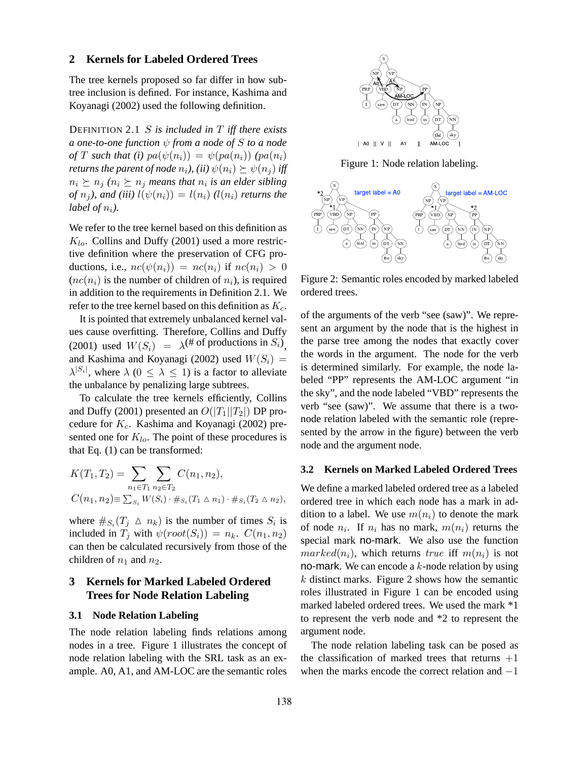## **2 Kernels for Labeled Ordered Trees**

The tree kernels proposed so far differ in how subtree inclusion is defined. For instance, Kashima and Koyanagi (2002) used the following definition.

DEFINITION 2.1 S *is included in* T *iff there exists a one-to-one function* ψ *from a node of* S *to a node of* T such that (i)  $pa(\psi(n_i)) = \psi(pa(n_i))$   $(pa(n_i)$ *returns the parent of node*  $n_i$ *), (ii)*  $\psi(n_i) \succeq \psi(n_i)$  *iff*  $n_i \succeq n_j$  ( $n_i \succeq n_j$  *means that*  $n_i$  *is an elder sibling of*  $n_i$ *), and (iii)*  $l(\psi(n_i)) = l(n_i)$  *(l(n<sub>i</sub>) returns the label of*  $n_i$ *).* 

We refer to the tree kernel based on this definition as  $K_{lo}$ . Collins and Duffy (2001) used a more restrictive definition where the preservation of CFG productions, i.e.,  $nc(\psi(n_i)) = nc(n_i)$  if  $nc(n_i) > 0$  $(nc(n_i))$  is the number of children of  $n_i$ ), is required in addition to the requirements in Definition 2.1. We refer to the tree kernel based on this definition as  $K_c$ .

It is pointed that extremely unbalanced kernel values cause overfitting. Therefore, Collins and Duffy (2001) used  $W(S_i) = \lambda^{(\text{# of productions in } S_i)}$ , and Kashima and Koyanagi (2002) used  $W(S_i)$  =  $\lambda^{|S_i|}$ , where  $\lambda$  ( $0 \leq \lambda \leq 1$ ) is a factor to alleviate the unbalance by penalizing large subtrees.

To calculate the tree kernels efficiently, Collins and Duffy (2001) presented an  $O(|T_1||T_2|)$  DP procedure for  $K_c$ . Kashima and Koyanagi (2002) presented one for  $K_{lo}$ . The point of these procedures is that Eq. (1) can be transformed:

$$
K(T_1, T_2) = \sum_{n_1 \in T_1} \sum_{n_2 \in T_2} C(n_1, n_2),
$$
  

$$
C(n_1, n_2) \equiv \sum_{S_i} W(S_i) \cdot \#_{S_i} (T_1 \triangle n_1) \cdot \#_{S_i} (T_2 \triangle n_2),
$$

where  $\#_{S_i}(T_j \triangle n_k)$  is the number of times  $S_i$  is included in  $T_i$  with  $\psi(root(S_i)) = n_k$ .  $C(n_1, n_2)$ can then be calculated recursively from those of the children of  $n_1$  and  $n_2$ .

# **3 Kernels for Marked Labeled Ordered Trees for Node Relation Labeling**

#### **3.1 Node Relation Labeling**

The node relation labeling finds relations among nodes in a tree. Figure 1 illustrates the concept of node relation labeling with the SRL task as an example. A0, A1, and AM-LOC are the semantic roles



Figure 1: Node relation labeling.



Figure 2: Semantic roles encoded by marked labeled ordered trees.

of the arguments of the verb "see (saw)". We represent an argument by the node that is the highest in the parse tree among the nodes that exactly cover the words in the argument. The node for the verb is determined similarly. For example, the node labeled "PP" represents the AM-LOC argument "in the sky", and the node labeled "VBD" represents the verb "see (saw)". We assume that there is a twonode relation labeled with the semantic role (represented by the arrow in the figure) between the verb node and the argument node.

### **3.2 Kernels on Marked Labeled Ordered Trees**

We define a marked labeled ordered tree as a labeled ordered tree in which each node has a mark in addition to a label. We use  $m(n_i)$  to denote the mark of node  $n_i$ . If  $n_i$  has no mark,  $m(n_i)$  returns the special mark no-mark. We also use the function  $marked(n_i)$ , which returns true iff  $m(n_i)$  is not no-mark. We can encode a  $k$ -node relation by using k distinct marks. Figure 2 shows how the semantic roles illustrated in Figure 1 can be encoded using marked labeled ordered trees. We used the mark \*1 to represent the verb node and \*2 to represent the argument node.

The node relation labeling task can be posed as the classification of marked trees that returns  $+1$ when the marks encode the correct relation and  $-1$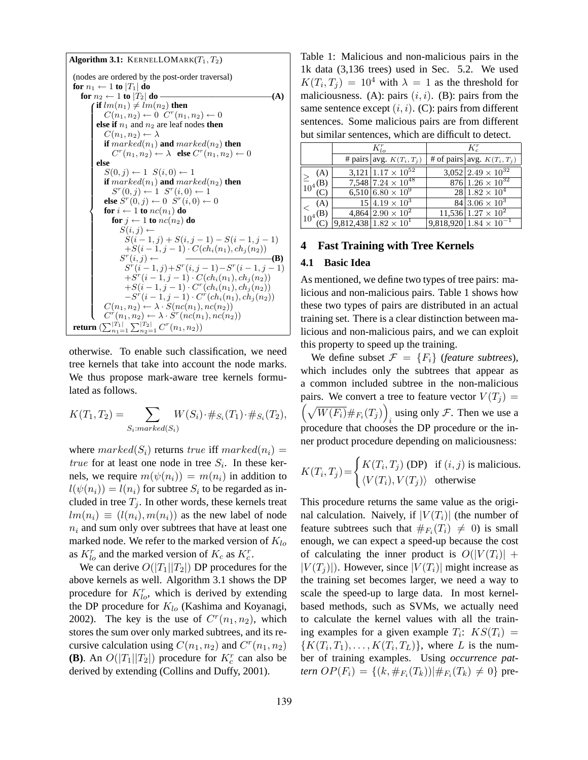Algorithm 3.1: KERNELLOMARK
$$
(T_1, T_2)
$$
  
\n(nodes are ordered by the post-order traversal)  
\nfor  $n_1 \leftarrow 1$  to  $|T_1|$  do  
\nfor  $n_2 \leftarrow 1$  to  $|T_2|$  do — (A)  
\nif  $lm(n_1) \neq lm(n_2)$  then  
\n $C(n_1, n_2) \leftarrow 0$  C<sup>*r*</sup>(n<sub>1</sub>, n<sub>2</sub>)  $\leftarrow 0$   
\nelse if  $n_1$  and  $n_2$  are leaf nodes then  
\n $C(n_1, n_2) \leftarrow \lambda$   
\nif  $marked(n_1)$  and  $marked(n_2)$  then  
\n $Cr(n1, n2)  $\leftarrow \lambda$  else C<sup>*r*</sup>(n<sub>1</sub>, n<sub>2</sub>)  $\leftarrow 0$   
\nelse  
\n $S(0, j) \leftarrow 1$  S(*i*, 0)  $\leftarrow 1$   
\nif  $marked(n_1)$  and  $marked(n_2)$  then  
\n $Sr(0, j) - 1$  S(*i*, 0)  $\leftarrow 1$   
\nif  $marked(n_1)$  and  $marked(n_2)$  then  
\n $Sr(0, j) - 1$  S<sup>*r*</sup>(*i*, 0)  $\leftarrow 1$   
\nelse S<sup>*r*</sup>(0, j)  $\leftarrow 1$  S<sup>*r*</sup>(*i*, 0)  $\leftarrow 0$   
\nfor *i*  $\leftarrow 1$  to  $nc(n_1)$  do  
\nfor *j*  $\leftarrow 1$  to  $nc(n_2)$  do  
\nS(*i*, *j*)  $\leftarrow$   
\nS(*i* - 1, *j* + S(*i*, *j* - 1) - S(*i* - 1, *j* - 1)  
\n+ S(*i* - 1, *j* - 1) \$ 

otherwise. To enable such classification, we need tree kernels that take into account the node marks. We thus propose mark-aware tree kernels formulated as follows.

$$
K(T_1, T_2) = \sum_{S_i: marked(S_i)} W(S_i) \cdot \#_{S_i}(T_1) \cdot \#_{S_i}(T_2),
$$

where  $marked(S_i)$  returns true iff  $marked(n_i)$  = *true* for at least one node in tree  $S_i$ . In these kernels, we require  $m(\psi(n_i)) = m(n_i)$  in addition to  $l(\psi(n_i)) = l(n_i)$  for subtree  $S_i$  to be regarded as included in tree  $T_i$ . In other words, these kernels treat  $lm(n_i) \equiv (l(n_i), m(n_i))$  as the new label of node  $n_i$  and sum only over subtrees that have at least one marked node. We refer to the marked version of  $K_{lo}$ as  $K_{lo}^r$  and the marked version of  $K_c$  as  $K_c^r$ .

We can derive  $O(|T_1||T_2|)$  DP procedures for the above kernels as well. Algorithm 3.1 shows the DP procedure for  $K_{lo}^r$ , which is derived by extending the DP procedure for  $K_{lo}$  (Kashima and Koyanagi, 2002). The key is the use of  $C<sup>r</sup>(n<sub>1</sub>, n<sub>2</sub>)$ , which stores the sum over only marked subtrees, and its recursive calculation using  $C(n_1, n_2)$  and  $C<sup>r</sup>(n_1, n_2)$ **(B)**. An  $O(|T_1||T_2|)$  procedure for  $K_c^r$  can also be derived by extending (Collins and Duffy, 2001).

Table 1: Malicious and non-malicious pairs in the 1k data (3,136 trees) used in Sec. 5.2. We used  $K(T_i, T_j) = 10^4$  with  $\lambda = 1$  as the threshold for maliciousness. (A): pairs  $(i, i)$ . (B): pairs from the same sentence except  $(i, i)$ . (C): pairs from different sentences. Some malicious pairs are from different but similar sentences, which are difficult to detect.

|                           | $K_{l,o}^r$                      | $K_c^r$ |                                      |  |  |
|---------------------------|----------------------------------|---------|--------------------------------------|--|--|
|                           | # pairs   avg. $K(T_i, T_j)$     |         | # of pairs   avg. $K(T_i, T_j)$      |  |  |
| (A)                       | $3,121 1.17\times10^{52}$        |         | $3,052$ $2.49 \times 10^{32}$        |  |  |
| $\geq \frac{2}{10^4}$ (B) | 7,548 $7.24 \times 10^{48}$      |         | $876\overline{)1.26\times10^{32}}$   |  |  |
|                           | $6,510 6.80\times10^{9}$         |         | $28 1.82\times10^{4}$                |  |  |
| (A)                       | $15 4.19 \times 10^3$            |         | $84 3.06 \times 10^3$                |  |  |
| $\frac{<}{10^4}$ (B)      | $4,864 2.90\times10^{2}$         |         | $11,536 1.\overline{27 \times 10^2}$ |  |  |
| (C)                       | $9,812,438$ $1.82 \times 10^{1}$ |         | $9,818,920$   $1.84 \times 10^{-1}$  |  |  |

#### **4 Fast Training with Tree Kernels**

#### **4.1 Basic Idea**

As mentioned, we define two types of tree pairs: malicious and non-malicious pairs. Table 1 shows how these two types of pairs are distributed in an actual training set. There is a clear distinction between malicious and non-malicious pairs, and we can exploit this property to speed up the training.

We define subset  $\mathcal{F} = \{F_i\}$  (*feature subtrees*), which includes only the subtrees that appear as a common included subtree in the non-malicious pairs. We convert a tree to feature vector  $V(T_j) =$  $W(F_i) \#_{F_i}(T_j)$  using only  $\mathcal F$ . Then we use a procedure that chooses the DP procedure or the inner product procedure depending on maliciousness:

$$
K(T_i, T_j) = \begin{cases} K(T_i, T_j) \text{ (DP)} & \text{if } (i, j) \text{ is malicious.} \\ \langle V(T_i), V(T_j) \rangle & \text{otherwise} \end{cases}
$$

This procedure returns the same value as the original calculation. Naively, if  $|V(T_i)|$  (the number of feature subtrees such that  $#_{F_i}(T_i) \neq 0$  is small enough, we can expect a speed-up because the cost of calculating the inner product is  $O(|V(T_i)| +$  $|V(T_i)|$ ). However, since  $|V(T_i)|$  might increase as the training set becomes larger, we need a way to scale the speed-up to large data. In most kernelbased methods, such as SVMs, we actually need to calculate the kernel values with all the training examples for a given example  $T_i$ :  $KS(T_i)$  =  ${K(T_i, T_1), \ldots, K(T_i, T_L)}$ , where L is the number of training examples. Using *occurrence pattern*  $OP(F_i) = \{(k, \#_{F_i}(T_k)) | \#_{F_i}(T_k) \neq 0\}$  pre-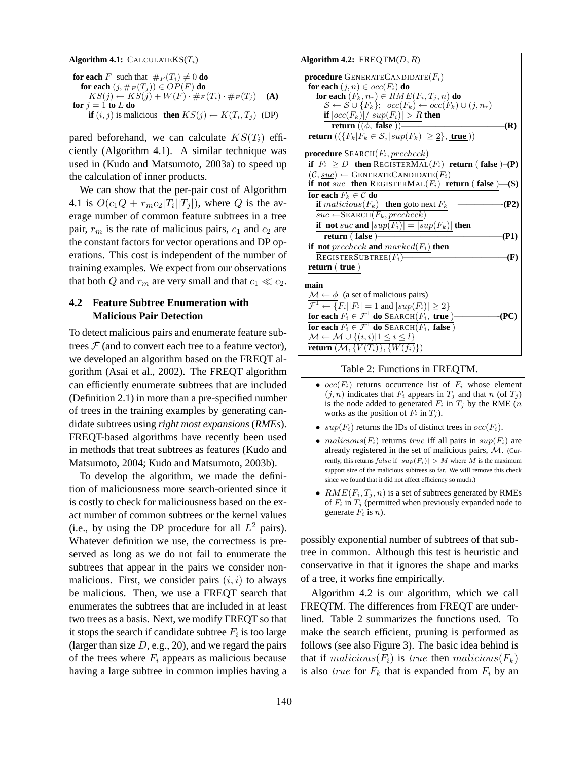| <b>Algorithm 4.1:</b> CALCULATEKS $(T_i)$                                       |     |
|---------------------------------------------------------------------------------|-----|
| <b>for each</b> F such that $\#_F(T_i) \neq 0$ <b>do</b>                        |     |
| for each $(j, \#_F(T_i)) \in OP(F)$ do                                          |     |
| $KS(j) \leftarrow KS(j) + W(F) \cdot \#_F(T_i) \cdot \#_F(T_j)$                 | (A) |
| for $i = 1$ to L do                                                             |     |
| <b>if</b> $(i, j)$ is malicious <b>then</b> $KS(j) \leftarrow K(T_i, T_j)$ (DP) |     |

pared beforehand, we can calculate  $KS(T_i)$  efficiently (Algorithm 4.1). A similar technique was used in (Kudo and Matsumoto, 2003a) to speed up the calculation of inner products.

We can show that the per-pair cost of Algorithm 4.1 is  $O(c_1Q + r_m c_2 |T_i||T_j|)$ , where Q is the average number of common feature subtrees in a tree pair,  $r_m$  is the rate of malicious pairs,  $c_1$  and  $c_2$  are the constant factors for vector operations and DP operations. This cost is independent of the number of training examples. We expect from our observations that both Q and  $r_m$  are very small and that  $c_1 \ll c_2$ .

# **4.2 Feature Subtree Enumeration with Malicious Pair Detection**

To detect malicious pairs and enumerate feature subtrees  $F$  (and to convert each tree to a feature vector), we developed an algorithm based on the FREQT algorithm (Asai et al., 2002). The FREQT algorithm can efficiently enumerate subtrees that are included (Definition 2.1) in more than a pre-specified number of trees in the training examples by generating candidate subtrees using *right most expansions* (*RMEs*). FREQT-based algorithms have recently been used in methods that treat subtrees as features (Kudo and Matsumoto, 2004; Kudo and Matsumoto, 2003b).

To develop the algorithm, we made the definition of maliciousness more search-oriented since it is costly to check for maliciousness based on the exact number of common subtrees or the kernel values (i.e., by using the DP procedure for all  $L^2$  pairs). Whatever definition we use, the correctness is preserved as long as we do not fail to enumerate the subtrees that appear in the pairs we consider nonmalicious. First, we consider pairs  $(i, i)$  to always be malicious. Then, we use a FREQT search that enumerates the subtrees that are included in at least two trees as a basis. Next, we modify FREQT so that it stops the search if candidate subtree  $F_i$  is too large (larger than size  $D$ , e.g., 20), and we regard the pairs of the trees where  $F_i$  appears as malicious because having a large subtree in common implies having a

| Algorithm 4.2: $FREQTM(D, R)$                                                            |
|------------------------------------------------------------------------------------------|
| <b>procedure</b> GENERATECANDIDATE $(F_i)$                                               |
| for each $(j, n) \in occ(F_i)$ do                                                        |
| for each $(F_k, n_r) \in RME(F_i, T_j, n)$ do                                            |
| $S \leftarrow S \cup \{F_k\}; \ \ occ(F_k) \leftarrow occ(F_k) \cup (j, n_r)$            |
| if $ occ(F_k) / sup(F_i)  > R$ then                                                      |
| return $((\phi, false))$<br>(R)                                                          |
| <b>return</b> $((\{F_k F_k \in \mathcal{S},  sup(F_k)  \geq 2\},$ true)                  |
| <b>procedure</b> $\text{SEARCH}(F_i, precheck)$                                          |
| if $ F_i  \ge D$ then REGISTERMAL( $F_i$ ) return (false)–(P)                            |
| $\overline{(\mathcal{C},\underline{suc})} \leftarrow \text{GENERALECANDIDATE}(F_i)$      |
| if not suc then REGISTERMAL $(F_i)$ return (false )—(S)                                  |
| for each $F_k \in \mathcal{C}$ do                                                        |
| <b>if</b> $malicious(F_k)$ <b>then</b> goto next $F_k$<br>-(P2)                          |
| $suc \leftarrow$ SEARCH $(F_k, precheck)$                                                |
| if not suc and $ sup(F_i)  =  sup(F_k) $ then                                            |
| return $($ false $)$ —<br>(P1)                                                           |
| if not precheck and $marked(F_i)$ then                                                   |
| $\texttt{REGISTERSUBTREE}(F_i)$<br>-(F)                                                  |
| return ( true )                                                                          |
| main                                                                                     |
| $\mathcal{M} \leftarrow \phi$ (a set of malicious pairs)                                 |
| $\overline{\mathcal{F}^1 \leftarrow \{F_i    F_i  = 1 \text{ and }  sup(F_i)  \geq 2\}}$ |
| for each $F_i \in \mathcal{F}^1$ do SEARCH( $F_i$ , true)————<br>(PC)                    |
| for each $F_i \in \mathcal{F}^1$ do SEARCH( $F_i$ , false)                               |
| $\mathcal{M} \leftarrow \mathcal{M} \cup \{(i,i) 1 \leq i \leq l\}$                      |
| return $(M, \{V(T_i)\}, \{W(f_i)\})$                                                     |

Table 2: Functions in FREQTM.

- $occ(F_i)$  returns occurrence list of  $F_i$  whose element  $(j, n)$  indicates that  $F_i$  appears in  $T_j$  and that n (of  $T_j$ ) is the node added to generated  $F_i$  in  $T_j$  by the RME (*n* works as the position of  $F_i$  in  $T_j$ ).
- $sup(F_i)$  returns the IDs of distinct trees in  $occ(F_i)$ .
- malicious( $F_i$ ) returns true iff all pairs in  $sup(F_i)$  are already registered in the set of malicious pairs, M. (Currently, this returns false if  $|sup(F_i)| > M$  where M is the maximum support size of the malicious subtrees so far. We will remove this check since we found that it did not affect efficiency so much.)
- $RME(F_i, T_j, n)$  is a set of subtrees generated by RMEs of  $F_i$  in  $T_j$  (permitted when previously expanded node to generate  $F_i$  is n).

possibly exponential number of subtrees of that subtree in common. Although this test is heuristic and conservative in that it ignores the shape and marks of a tree, it works fine empirically.

Algorithm 4.2 is our algorithm, which we call FREQTM. The differences from FREQT are underlined. Table 2 summarizes the functions used. To make the search efficient, pruning is performed as follows (see also Figure 3). The basic idea behind is that if malicious( $F_i$ ) is true then malicious( $F_k$ ) is also *true* for  $F_k$  that is expanded from  $F_i$  by an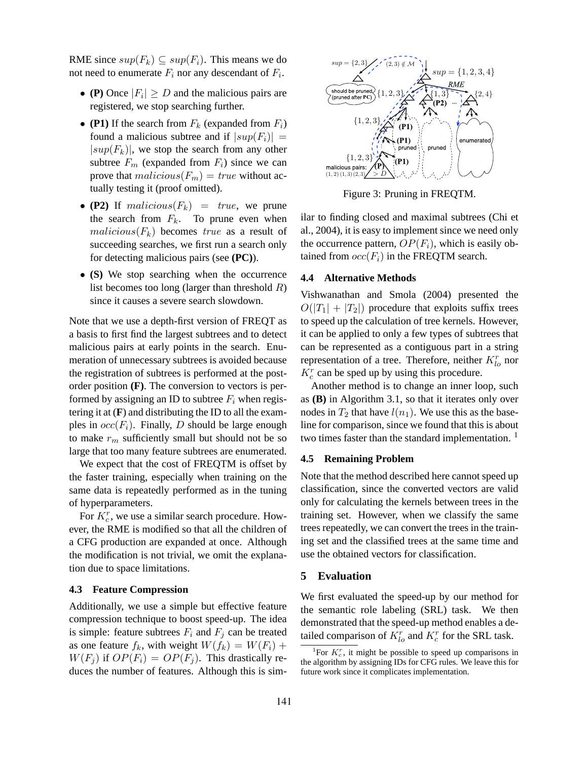RME since  $sup(F_k) \subseteq sup(F_i)$ . This means we do not need to enumerate  $F_i$  nor any descendant of  $F_i$ .

- **(P)** Once  $|F_i| \ge D$  and the malicious pairs are registered, we stop searching further.
- **(P1)** If the search from  $F_k$  (expanded from  $F_i$ ) found a malicious subtree and if  $|sup(F_i)| =$  $|sup(F_k)|$ , we stop the search from any other subtree  $F_m$  (expanded from  $F_i$ ) since we can prove that  $malicious(F_m) = true$  without actually testing it (proof omitted).
- **(P2)** If malicious $(F_k)$  = true, we prune the search from  $F_k$ . To prune even when  $malicious(F_k)$  becomes true as a result of succeeding searches, we first run a search only for detecting malicious pairs (see **(PC)**).
- **(S)** We stop searching when the occurrence list becomes too long (larger than threshold  $R$ ) since it causes a severe search slowdown.

Note that we use a depth-first version of FREQT as a basis to first find the largest subtrees and to detect malicious pairs at early points in the search. Enumeration of unnecessary subtrees is avoided because the registration of subtrees is performed at the postorder position **(F)**. The conversion to vectors is performed by assigning an ID to subtree  $F_i$  when registering it at  $(F)$  and distributing the ID to all the examples in  $occ(F_i)$ . Finally, D should be large enough to make  $r_m$  sufficiently small but should not be so large that too many feature subtrees are enumerated.

We expect that the cost of FREQTM is offset by the faster training, especially when training on the same data is repeatedly performed as in the tuning of hyperparameters.

For  $K_c^r$ , we use a similar search procedure. However, the RME is modified so that all the children of a CFG production are expanded at once. Although the modification is not trivial, we omit the explanation due to space limitations.

#### **4.3 Feature Compression**

Additionally, we use a simple but effective feature compression technique to boost speed-up. The idea is simple: feature subtrees  $F_i$  and  $F_j$  can be treated as one feature  $f_k$ , with weight  $W(f_k) = W(F_i) +$  $W(F_i)$  if  $OP(F_i) = OP(F_i)$ . This drastically reduces the number of features. Although this is sim-



Figure 3: Pruning in FREQTM.

ilar to finding closed and maximal subtrees (Chi et al., 2004), it is easy to implement since we need only the occurrence pattern,  $OP(F_i)$ , which is easily obtained from  $occ(F_i)$  in the FREQTM search.

#### **4.4 Alternative Methods**

Vishwanathan and Smola (2004) presented the  $O(|T_1| + |T_2|)$  procedure that exploits suffix trees to speed up the calculation of tree kernels. However, it can be applied to only a few types of subtrees that can be represented as a contiguous part in a string representation of a tree. Therefore, neither  $K_{lo}^r$  nor  $K_c^r$  can be sped up by using this procedure.

Another method is to change an inner loop, such as **(B)** in Algorithm 3.1, so that it iterates only over nodes in  $T_2$  that have  $l(n_1)$ . We use this as the baseline for comparison, since we found that this is about two times faster than the standard implementation.  $<sup>1</sup>$ </sup>

## **4.5 Remaining Problem**

Note that the method described here cannot speed up classification, since the converted vectors are valid only for calculating the kernels between trees in the training set. However, when we classify the same trees repeatedly, we can convert the trees in the training set and the classified trees at the same time and use the obtained vectors for classification.

## **5 Evaluation**

We first evaluated the speed-up by our method for the semantic role labeling (SRL) task. We then demonstrated that the speed-up method enables a detailed comparison of  $K_{lo}^r$  and  $K_c^r$  for the SRL task.

<sup>&</sup>lt;sup>1</sup>For  $K_c^r$ , it might be possible to speed up comparisons in the algorithm by assigning IDs for CFG rules. We leave this for future work since it complicates implementation.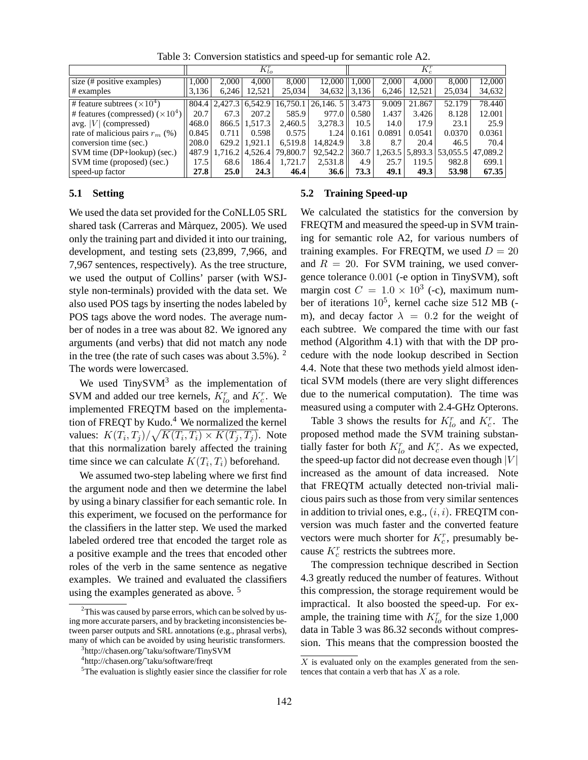|                                         | $K_{lo}^r$ |               |         |                  | $K_c^r$                                  |       |         |         |        |                   |
|-----------------------------------------|------------|---------------|---------|------------------|------------------------------------------|-------|---------|---------|--------|-------------------|
| size (# positive examples)              | 1.000      | 2.000         | 4.000   | 8,000            | 12.000                                   | 1.000 | 2.000   | 4.000   | 8,000  | 12,000            |
| $\#$ examples                           | 3,136      | 6,246         | 12,521  | 25.034           | 34,632                                   | 3,136 | 6,246   | 12,521  | 25,034 | 34,632            |
| # feature subtrees $(\times 10^4)$      |            | 804.4 2.427.3 |         |                  | $6,542.9$   16,750.1   26,146. 5   3.473 |       | 9.009   | 21.867  | 52.179 | 78.440            |
| # features (compressed) $(\times 10^4)$ | 20.7       | 67.3          | 207.2   | 585.9            | 977.0                                    | 0.580 | 1.437   | 3.426   | 8.128  | 12.001            |
| avg. $ V $ (compressed)                 | 468.0      | 866.5         | 1.517.3 | 2.460.5          | 3.278.3                                  | 10.5  | 14.0    | 17.9    | 23.1   | 25.9              |
| rate of malicious pairs $r_m$ (%)       | 0.845      | 0.711         | 0.598   | 0.575            | 1.24                                     | 0.161 | 0.0891  | 0.0541  | 0.0370 | 0.0361            |
| conversion time (sec.)                  | 208.0      | 629.2         | 1.921.1 | 6.519.8          | 14.824.9                                 | 3.8   | 8.7     | 20.4    | 46.5   | 70.4              |
| $SVM$ time (DP+lookup) (sec.)           | 487.9      | 1,716.2       |         | 4.526.4 79.800.7 | 92,542.2                                 | 360.7 | 1,263.5 | 5,893.3 |        | 53.055.5 47.089.2 |
| SVM time (proposed) (sec.)              | 17.5       | 68.6          | 186.4   | 1,721.7          | 2,531.8                                  | 4.9   | 25.7    | 119.5   | 982.8  | 699.1             |
| speed-up factor                         | 27.8       | <b>25.0</b>   | 24.3    | 46.4             | 36.6                                     | 73.3  | 49.1    | 49.3    | 53.98  | 67.35             |

Table 3: Conversion statistics and speed-up for semantic role A2.

### **5.1 Setting**

We used the data set provided for the CoNLL05 SRL shared task (Carreras and Màrquez, 2005). We used only the training part and divided it into our training, development, and testing sets (23,899, 7,966, and 7,967 sentences, respectively). As the tree structure, we used the output of Collins' parser (with WSJstyle non-terminals) provided with the data set. We also used POS tags by inserting the nodes labeled by POS tags above the word nodes. The average number of nodes in a tree was about 82. We ignored any arguments (and verbs) that did not match any node in the tree (the rate of such cases was about  $3.5\%$ ). <sup>2</sup> The words were lowercased.

We used  $TinySVM<sup>3</sup>$  as the implementation of SVM and added our tree kernels,  $K_{lo}^r$  and  $K_c^r$ . We implemented FREQTM based on the implementation of FREQT by Kudo.<sup>4</sup> We normalized the kernel values:  $K(T_i, T_j) / \sqrt{K(T_i, T_i)} \times K(T_j, T_j)$ . Note that this normalization barely affected the training time since we can calculate  $K(T_i, T_i)$  beforehand.

We assumed two-step labeling where we first find the argument node and then we determine the label by using a binary classifier for each semantic role. In this experiment, we focused on the performance for the classifiers in the latter step. We used the marked labeled ordered tree that encoded the target role as a positive example and the trees that encoded other roles of the verb in the same sentence as negative examples. We trained and evaluated the classifiers using the examples generated as above.<sup>5</sup>

#### **5.2 Training Speed-up**

We calculated the statistics for the conversion by FREQTM and measured the speed-up in SVM training for semantic role A2, for various numbers of training examples. For FREQTM, we used  $D = 20$ and  $R = 20$ . For SVM training, we used convergence tolerance 0.001 (-e option in TinySVM), soft margin cost  $C = 1.0 \times 10^3$  (-c), maximum number of iterations  $10^5$ , kernel cache size 512 MB (m), and decay factor  $\lambda = 0.2$  for the weight of each subtree. We compared the time with our fast method (Algorithm 4.1) with that with the DP procedure with the node lookup described in Section 4.4. Note that these two methods yield almost identical SVM models (there are very slight differences due to the numerical computation). The time was measured using a computer with 2.4-GHz Opterons.

Table 3 shows the results for  $K_{lo}^r$  and  $K_c^r$ . The proposed method made the SVM training substantially faster for both  $K_{lo}^r$  and  $K_c^r$ . As we expected, the speed-up factor did not decrease even though  $|V|$ increased as the amount of data increased. Note that FREQTM actually detected non-trivial malicious pairs such as those from very similar sentences in addition to trivial ones, e.g.,  $(i, i)$ . FREQTM conversion was much faster and the converted feature vectors were much shorter for  $K_c^r$ , presumably because  $K_c^r$  restricts the subtrees more.

The compression technique described in Section 4.3 greatly reduced the number of features. Without this compression, the storage requirement would be impractical. It also boosted the speed-up. For example, the training time with  $K_{lo}^r$  for the size 1,000 data in Table 3 was 86.32 seconds without compression. This means that the compression boosted the

<sup>&</sup>lt;sup>2</sup>This was caused by parse errors, which can be solved by using more accurate parsers, and by bracketing inconsistencies between parser outputs and SRL annotations (e.g., phrasal verbs), many of which can be avoided by using heuristic transformers.

<sup>3</sup> http://chasen.org/˜taku/software/TinySVM

<sup>4</sup> http://chasen.org/˜taku/software/freqt

 $5$ The evaluation is slightly easier since the classifier for role

 $X$  is evaluated only on the examples generated from the sentences that contain a verb that has  $X$  as a role.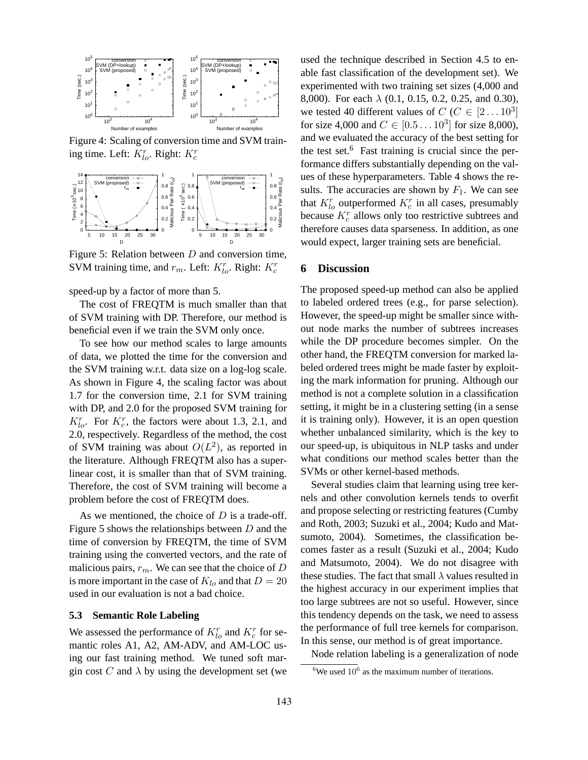

Figure 4: Scaling of conversion time and SVM training time. Left:  $K_{lo}^r$ . Right:  $K_c^r$ 



Figure 5: Relation between  $D$  and conversion time, SVM training time, and  $r_m$ . Left:  $K_{lo}^r$ . Right:  $K_c^r$ 

speed-up by a factor of more than 5.

The cost of FREQTM is much smaller than that of SVM training with DP. Therefore, our method is beneficial even if we train the SVM only once.

To see how our method scales to large amounts of data, we plotted the time for the conversion and the SVM training w.r.t. data size on a log-log scale. As shown in Figure 4, the scaling factor was about 1.7 for the conversion time, 2.1 for SVM training with DP, and 2.0 for the proposed SVM training for  $K_{lo}^r$ . For  $K_c^r$ , the factors were about 1.3, 2.1, and 2.0, respectively. Regardless of the method, the cost of SVM training was about  $O(L^2)$ , as reported in the literature. Although FREQTM also has a superlinear cost, it is smaller than that of SVM training. Therefore, the cost of SVM training will become a problem before the cost of FREQTM does.

As we mentioned, the choice of  $D$  is a trade-off. Figure 5 shows the relationships between  $D$  and the time of conversion by FREQTM, the time of SVM training using the converted vectors, and the rate of malicious pairs,  $r_m$ . We can see that the choice of D is more important in the case of  $K_{lo}$  and that  $D = 20$ used in our evaluation is not a bad choice.

#### **5.3 Semantic Role Labeling**

We assessed the performance of  $K_{lo}^r$  and  $K_c^r$  for semantic roles A1, A2, AM-ADV, and AM-LOC using our fast training method. We tuned soft margin cost C and  $\lambda$  by using the development set (we used the technique described in Section 4.5 to enable fast classification of the development set). We experimented with two training set sizes (4,000 and 8,000). For each  $\lambda$  (0.1, 0.15, 0.2, 0.25, and 0.30), we tested 40 different values of  $C$  ( $C \in [2...10^3]$ for size 4,000 and  $C \in [0.5 \dots 10^3]$  for size 8,000), and we evaluated the accuracy of the best setting for the test set.<sup>6</sup> Fast training is crucial since the performance differs substantially depending on the values of these hyperparameters. Table 4 shows the results. The accuracies are shown by  $F_1$ . We can see that  $K_{lo}^r$  outperformed  $K_c^r$  in all cases, presumably because  $K_c^r$  allows only too restrictive subtrees and therefore causes data sparseness. In addition, as one would expect, larger training sets are beneficial.

#### **6 Discussion**

The proposed speed-up method can also be applied to labeled ordered trees (e.g., for parse selection). However, the speed-up might be smaller since without node marks the number of subtrees increases while the DP procedure becomes simpler. On the other hand, the FREQTM conversion for marked labeled ordered trees might be made faster by exploiting the mark information for pruning. Although our method is not a complete solution in a classification setting, it might be in a clustering setting (in a sense it is training only). However, it is an open question whether unbalanced similarity, which is the key to our speed-up, is ubiquitous in NLP tasks and under what conditions our method scales better than the SVMs or other kernel-based methods.

Several studies claim that learning using tree kernels and other convolution kernels tends to overfit and propose selecting or restricting features (Cumby and Roth, 2003; Suzuki et al., 2004; Kudo and Matsumoto, 2004). Sometimes, the classification becomes faster as a result (Suzuki et al., 2004; Kudo and Matsumoto, 2004). We do not disagree with these studies. The fact that small  $\lambda$  values resulted in the highest accuracy in our experiment implies that too large subtrees are not so useful. However, since this tendency depends on the task, we need to assess the performance of full tree kernels for comparison. In this sense, our method is of great importance.

Node relation labeling is a generalization of node

 ${}^{6}$ We used  $10^{6}$  as the maximum number of iterations.